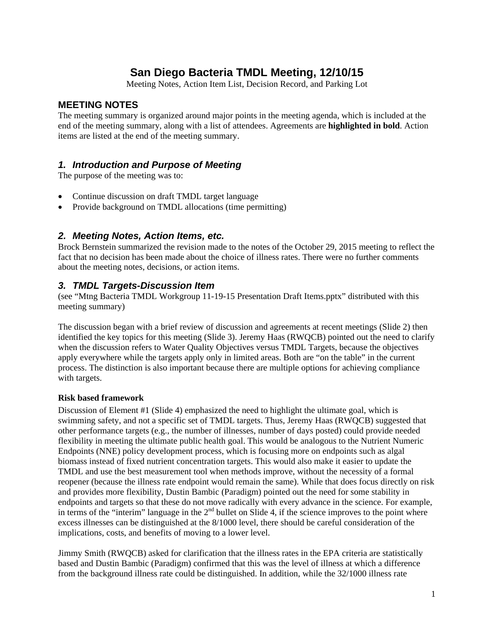# **San Diego Bacteria TMDL Meeting, 12/10/15**

Meeting Notes, Action Item List, Decision Record, and Parking Lot

### **MEETING NOTES**

The meeting summary is organized around major points in the meeting agenda, which is included at the end of the meeting summary, along with a list of attendees. Agreements are **highlighted in bold**. Action items are listed at the end of the meeting summary.

# *1. Introduction and Purpose of Meeting*

The purpose of the meeting was to:

- Continue discussion on draft TMDL target language
- Provide background on TMDL allocations (time permitting)

### *2. Meeting Notes, Action Items, etc.*

Brock Bernstein summarized the revision made to the notes of the October 29, 2015 meeting to reflect the fact that no decision has been made about the choice of illness rates. There were no further comments about the meeting notes, decisions, or action items.

# *3. TMDL Targets-Discussion Item*

(see "Mtng Bacteria TMDL Workgroup 11-19-15 Presentation Draft Items.pptx" distributed with this meeting summary)

The discussion began with a brief review of discussion and agreements at recent meetings (Slide 2) then identified the key topics for this meeting (Slide 3). Jeremy Haas (RWQCB) pointed out the need to clarify when the discussion refers to Water Quality Objectives versus TMDL Targets, because the objectives apply everywhere while the targets apply only in limited areas. Both are "on the table" in the current process. The distinction is also important because there are multiple options for achieving compliance with targets.

#### **Risk based framework**

Discussion of Element #1 (Slide 4) emphasized the need to highlight the ultimate goal, which is swimming safety, and not a specific set of TMDL targets. Thus, Jeremy Haas (RWQCB) suggested that other performance targets (e.g., the number of illnesses, number of days posted) could provide needed flexibility in meeting the ultimate public health goal. This would be analogous to the Nutrient Numeric Endpoints (NNE) policy development process, which is focusing more on endpoints such as algal biomass instead of fixed nutrient concentration targets. This would also make it easier to update the TMDL and use the best measurement tool when methods improve, without the necessity of a formal reopener (because the illness rate endpoint would remain the same). While that does focus directly on risk and provides more flexibility, Dustin Bambic (Paradigm) pointed out the need for some stability in endpoints and targets so that these do not move radically with every advance in the science. For example, in terms of the "interim" language in the  $2<sup>nd</sup>$  bullet on Slide 4, if the science improves to the point where excess illnesses can be distinguished at the 8/1000 level, there should be careful consideration of the implications, costs, and benefits of moving to a lower level.

Jimmy Smith (RWQCB) asked for clarification that the illness rates in the EPA criteria are statistically based and Dustin Bambic (Paradigm) confirmed that this was the level of illness at which a difference from the background illness rate could be distinguished. In addition, while the 32/1000 illness rate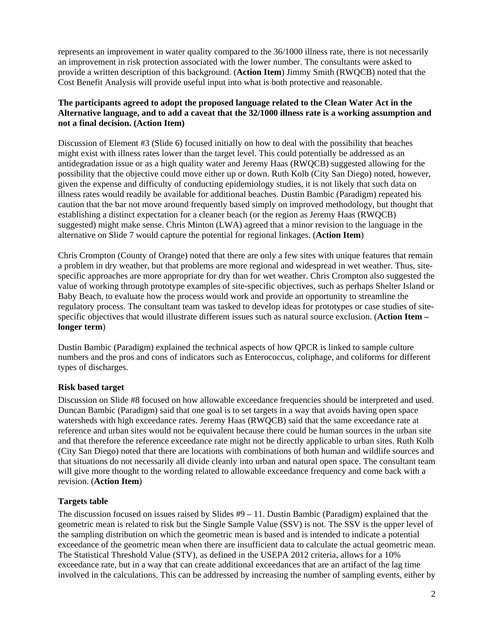represents an improvement in water quality compared to the 36/1000 illness rate, there is not necessarily an improvement in risk protection associated with the lower number. The consultants were asked to provide a written description of this background. (**Action Item**) Jimmy Smith (RWQCB) noted that the Cost Benefit Analysis will provide useful input into what is both protective and reasonable.

#### **The participants agreed to adopt the proposed language related to the Clean Water Act in the Alternative language, and to add a caveat that the 32/1000 illness rate is a working assumption and not a final decision. (Action Item)**

Discussion of Element #3 (Slide 6) focused initially on how to deal with the possibility that beaches might exist with illness rates lower than the target level. This could potentially be addressed as an antidegradation issue or as a high quality water and Jeremy Haas (RWQCB) suggested allowing for the possibility that the objective could move either up or down. Ruth Kolb (City San Diego) noted, however, given the expense and difficulty of conducting epidemiology studies, it is not likely that such data on illness rates would readily be available for additional beaches. Dustin Bambic (Paradigm) repeated his caution that the bar not move around frequently based simply on improved methodology, but thought that establishing a distinct expectation for a cleaner beach (or the region as Jeremy Haas (RWQCB) suggested) might make sense. Chris Minton (LWA) agreed that a minor revision to the language in the alternative on Slide 7 would capture the potential for regional linkages. (**Action Item**)

Chris Crompton (County of Orange) noted that there are only a few sites with unique features that remain a problem in dry weather, but that problems are more regional and widespread in wet weather. Thus, sitespecific approaches are more appropriate for dry than for wet weather. Chris Crompton also suggested the value of working through prototype examples of site-specific objectives, such as perhaps Shelter Island or Baby Beach, to evaluate how the process would work and provide an opportunity to streamline the regulatory process. The consultant team was tasked to develop ideas for prototypes or case studies of sitespecific objectives that would illustrate different issues such as natural source exclusion. (**Action Item – longer term**)

Dustin Bambic (Paradigm) explained the technical aspects of how QPCR is linked to sample culture numbers and the pros and cons of indicators such as Enterococcus, coliphage, and coliforms for different types of discharges.

#### **Risk based target**

Discussion on Slide #8 focused on how allowable exceedance frequencies should be interpreted and used. Duncan Bambic (Paradigm) said that one goal is to set targets in a way that avoids having open space watersheds with high exceedance rates. Jeremy Haas (RWQCB) said that the same exceedance rate at reference and urban sites would not be equivalent because there could be human sources in the urban site and that therefore the reference exceedance rate might not be directly applicable to urban sites. Ruth Kolb (City San Diego) noted that there are locations with combinations of both human and wildlife sources and that situations do not necessarily all divide cleanly into urban and natural open space. The consultant team will give more thought to the wording related to allowable exceedance frequency and come back with a revision. (**Action Item**)

#### **Targets table**

The discussion focused on issues raised by Slides #9 – 11. Dustin Bambic (Paradigm) explained that the geometric mean is related to risk but the Single Sample Value (SSV) is not. The SSV is the upper level of the sampling distribution on which the geometric mean is based and is intended to indicate a potential exceedance of the geometric mean when there are insufficient data to calculate the actual geometric mean. The Statistical Threshold Value (STV), as defined in the USEPA 2012 criteria, allows for a 10% exceedance rate, but in a way that can create additional exceedances that are an artifact of the lag time involved in the calculations. This can be addressed by increasing the number of sampling events, either by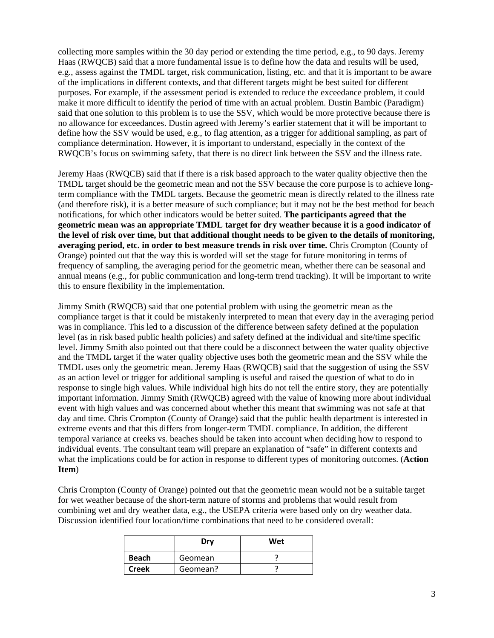collecting more samples within the 30 day period or extending the time period, e.g., to 90 days. Jeremy Haas (RWQCB) said that a more fundamental issue is to define how the data and results will be used, e.g., assess against the TMDL target, risk communication, listing, etc. and that it is important to be aware of the implications in different contexts, and that different targets might be best suited for different purposes. For example, if the assessment period is extended to reduce the exceedance problem, it could make it more difficult to identify the period of time with an actual problem. Dustin Bambic (Paradigm) said that one solution to this problem is to use the SSV, which would be more protective because there is no allowance for exceedances. Dustin agreed with Jeremy's earlier statement that it will be important to define how the SSV would be used, e.g., to flag attention, as a trigger for additional sampling, as part of compliance determination. However, it is important to understand, especially in the context of the RWQCB's focus on swimming safety, that there is no direct link between the SSV and the illness rate.

Jeremy Haas (RWQCB) said that if there is a risk based approach to the water quality objective then the TMDL target should be the geometric mean and not the SSV because the core purpose is to achieve longterm compliance with the TMDL targets. Because the geometric mean is directly related to the illness rate (and therefore risk), it is a better measure of such compliance; but it may not be the best method for beach notifications, for which other indicators would be better suited. **The participants agreed that the geometric mean was an appropriate TMDL target for dry weather because it is a good indicator of the level of risk over time, but that additional thought needs to be given to the details of monitoring, averaging period, etc. in order to best measure trends in risk over time.** Chris Crompton (County of Orange) pointed out that the way this is worded will set the stage for future monitoring in terms of frequency of sampling, the averaging period for the geometric mean, whether there can be seasonal and annual means (e.g., for public communication and long-term trend tracking). It will be important to write this to ensure flexibility in the implementation.

Jimmy Smith (RWQCB) said that one potential problem with using the geometric mean as the compliance target is that it could be mistakenly interpreted to mean that every day in the averaging period was in compliance. This led to a discussion of the difference between safety defined at the population level (as in risk based public health policies) and safety defined at the individual and site/time specific level. Jimmy Smith also pointed out that there could be a disconnect between the water quality objective and the TMDL target if the water quality objective uses both the geometric mean and the SSV while the TMDL uses only the geometric mean. Jeremy Haas (RWQCB) said that the suggestion of using the SSV as an action level or trigger for additional sampling is useful and raised the question of what to do in response to single high values. While individual high hits do not tell the entire story, they are potentially important information. Jimmy Smith (RWQCB) agreed with the value of knowing more about individual event with high values and was concerned about whether this meant that swimming was not safe at that day and time. Chris Crompton (County of Orange) said that the public health department is interested in extreme events and that this differs from longer-term TMDL compliance. In addition, the different temporal variance at creeks vs. beaches should be taken into account when deciding how to respond to individual events. The consultant team will prepare an explanation of "safe" in different contexts and what the implications could be for action in response to different types of monitoring outcomes. (**Action Item**)

Chris Crompton (County of Orange) pointed out that the geometric mean would not be a suitable target for wet weather because of the short-term nature of storms and problems that would result from combining wet and dry weather data, e.g., the USEPA criteria were based only on dry weather data. Discussion identified four location/time combinations that need to be considered overall:

|              | Dry      | Wet |
|--------------|----------|-----|
| <b>Beach</b> | Geomean  |     |
| <b>Creek</b> | Geomean? |     |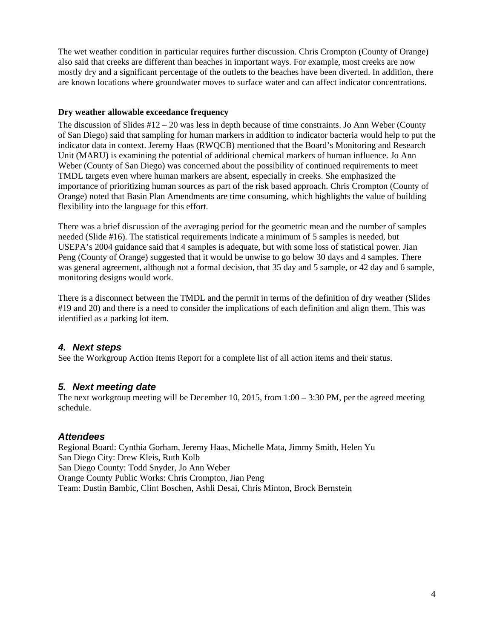The wet weather condition in particular requires further discussion. Chris Crompton (County of Orange) also said that creeks are different than beaches in important ways. For example, most creeks are now mostly dry and a significant percentage of the outlets to the beaches have been diverted. In addition, there are known locations where groundwater moves to surface water and can affect indicator concentrations.

#### **Dry weather allowable exceedance frequency**

The discussion of Slides  $\#12 - 20$  was less in depth because of time constraints. Jo Ann Weber (County of San Diego) said that sampling for human markers in addition to indicator bacteria would help to put the indicator data in context. Jeremy Haas (RWQCB) mentioned that the Board's Monitoring and Research Unit (MARU) is examining the potential of additional chemical markers of human influence. Jo Ann Weber (County of San Diego) was concerned about the possibility of continued requirements to meet TMDL targets even where human markers are absent, especially in creeks. She emphasized the importance of prioritizing human sources as part of the risk based approach. Chris Crompton (County of Orange) noted that Basin Plan Amendments are time consuming, which highlights the value of building flexibility into the language for this effort.

There was a brief discussion of the averaging period for the geometric mean and the number of samples needed (Slide #16). The statistical requirements indicate a minimum of 5 samples is needed, but USEPA's 2004 guidance said that 4 samples is adequate, but with some loss of statistical power. Jian Peng (County of Orange) suggested that it would be unwise to go below 30 days and 4 samples. There was general agreement, although not a formal decision, that 35 day and 5 sample, or 42 day and 6 sample, monitoring designs would work.

There is a disconnect between the TMDL and the permit in terms of the definition of dry weather (Slides #19 and 20) and there is a need to consider the implications of each definition and align them. This was identified as a parking lot item.

# *4. Next steps*

See the Workgroup Action Items Report for a complete list of all action items and their status.

# *5. Next meeting date*

The next workgroup meeting will be December 10, 2015, from  $1:00 - 3:30$  PM, per the agreed meeting schedule.

# *Attendees*

Regional Board: Cynthia Gorham, Jeremy Haas, Michelle Mata, Jimmy Smith, Helen Yu San Diego City: Drew Kleis, Ruth Kolb San Diego County: Todd Snyder, Jo Ann Weber Orange County Public Works: Chris Crompton, Jian Peng Team: Dustin Bambic, Clint Boschen, Ashli Desai, Chris Minton, Brock Bernstein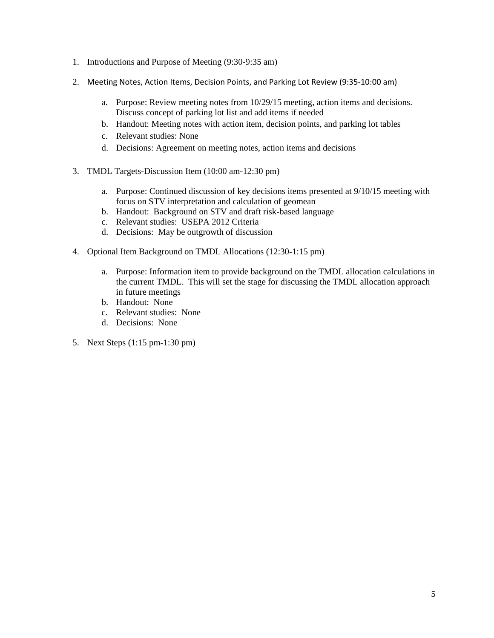- 1. Introductions and Purpose of Meeting (9:30-9:35 am)
- 2. Meeting Notes, Action Items, Decision Points, and Parking Lot Review (9:35-10:00 am)
	- a. Purpose: Review meeting notes from 10/29/15 meeting, action items and decisions. Discuss concept of parking lot list and add items if needed
	- b. Handout: Meeting notes with action item, decision points, and parking lot tables
	- c. Relevant studies: None
	- d. Decisions: Agreement on meeting notes, action items and decisions
- 3. TMDL Targets-Discussion Item (10:00 am-12:30 pm)
	- a. Purpose: Continued discussion of key decisions items presented at 9/10/15 meeting with focus on STV interpretation and calculation of geomean
	- b. Handout: Background on STV and draft risk-based language
	- c. Relevant studies: USEPA 2012 Criteria
	- d. Decisions: May be outgrowth of discussion
- 4. Optional Item Background on TMDL Allocations (12:30-1:15 pm)
	- a. Purpose: Information item to provide background on the TMDL allocation calculations in the current TMDL. This will set the stage for discussing the TMDL allocation approach in future meetings
	- b. Handout: None
	- c. Relevant studies: None
	- d. Decisions: None
- 5. Next Steps (1:15 pm-1:30 pm)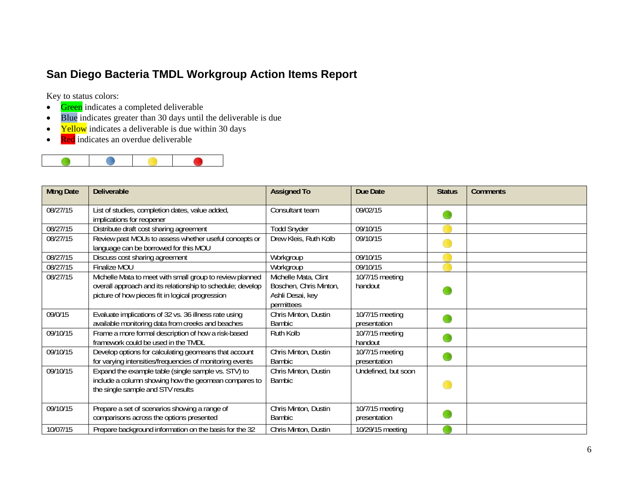# **San Diego Bacteria TMDL Workgroup Action Items Report**

Key to status colors:

- $\bullet$ Green indicates a completed deliverable
- $\bullet$ Blue indicates greater than 30 days until the deliverable is due
- $\bullet$ Yellow indicates a deliverable is due within 30 days
- $\bullet$ Red indicates an overdue deliverable



| <b>Mtng Date</b> | <b>Deliverable</b>                                                                                                                                                         | <b>Assigned To</b>                                                               | Due Date                        | <b>Status</b> | <b>Comments</b> |
|------------------|----------------------------------------------------------------------------------------------------------------------------------------------------------------------------|----------------------------------------------------------------------------------|---------------------------------|---------------|-----------------|
| 08/27/15         | List of studies, completion dates, value added,<br>implications for reopener                                                                                               | Consultant team                                                                  | 09/02/15                        |               |                 |
| 08/27/15         | Distribute draft cost sharing agreement                                                                                                                                    | <b>Todd Snyder</b>                                                               | 09/10/15                        |               |                 |
| 08/27/15         | Review past MOUs to assess whether useful concepts or<br>language can be borrowed for this MOU                                                                             | Drew Kleis, Ruth Kolb                                                            | 09/10/15                        |               |                 |
| 08/27/15         | Discuss cost sharing agreement                                                                                                                                             | Workgroup                                                                        | 09/10/15                        |               |                 |
| 08/27/15         | Finalize MOU                                                                                                                                                               | Workgroup                                                                        | 09/10/15                        |               |                 |
| 08/27/15         | Michelle Mata to meet with small group to review planned<br>overall approach and its relationship to schedule; develop<br>picture of how pieces fit in logical progression | Michelle Mata, Clint<br>Boschen, Chris Minton,<br>Ashli Desai, key<br>permittees | 10/7/15 meeting<br>handout      |               |                 |
| 09/0/15          | Evaluate implications of 32 vs. 36 illness rate using<br>available monitoring data from creeks and beaches                                                                 | Chris Minton, Dustin<br>Bambic                                                   | 10/7/15 meeting<br>presentation |               |                 |
| 09/10/15         | Frame a more formal description of how a risk-based<br>framework could be used in the TMDL                                                                                 | Ruth Kolb                                                                        | 10/7/15 meeting<br>handout      |               |                 |
| 09/10/15         | Develop options for calculating geomeans that account<br>for varying intensities/frequencies of monitoring events                                                          | Chris Minton, Dustin<br><b>Bambic</b>                                            | 10/7/15 meeting<br>presentation |               |                 |
| 09/10/15         | Expand the example table (single sample vs. STV) to<br>include a column showing how the geomean compares to<br>the single sample and STV results                           | Chris Minton, Dustin<br><b>Bambic</b>                                            | Undefined, but soon             |               |                 |
| 09/10/15         | Prepare a set of scenarios showing a range of<br>comparisons across the options presented                                                                                  | Chris Minton, Dustin<br><b>Bambic</b>                                            | 10/7/15 meeting<br>presentation |               |                 |
| 10/07/15         | Prepare background information on the basis for the 32                                                                                                                     | Chris Minton, Dustin                                                             | 10/29/15 meeting                |               |                 |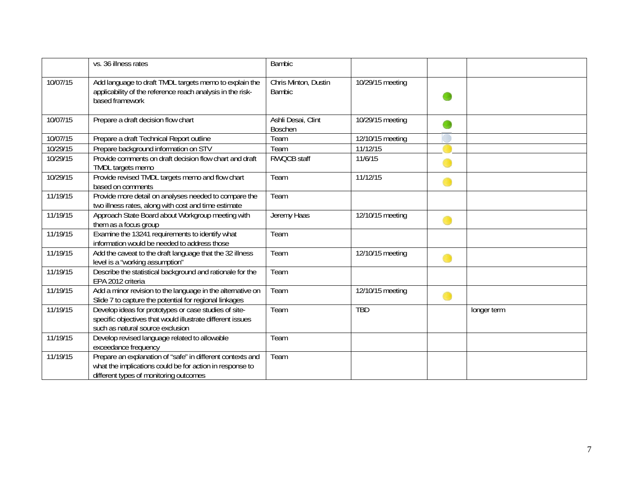|          | vs. 36 illness rates                                                                                                                                             | <b>Bambic</b>                         |                  |             |
|----------|------------------------------------------------------------------------------------------------------------------------------------------------------------------|---------------------------------------|------------------|-------------|
| 10/07/15 | Add language to draft TMDL targets memo to explain the<br>applicability of the reference reach analysis in the risk-<br>based framework                          | Chris Minton, Dustin<br><b>Bambic</b> | 10/29/15 meeting |             |
| 10/07/15 | Prepare a draft decision flow chart                                                                                                                              | Ashli Desai, Clint<br><b>Boschen</b>  | 10/29/15 meeting |             |
| 10/07/15 | Prepare a draft Technical Report outline                                                                                                                         | Team                                  | 12/10/15 meeting |             |
| 10/29/15 | Prepare background information on STV                                                                                                                            | Team                                  | 11/12/15         |             |
| 10/29/15 | Provide comments on draft decision flow chart and draft<br>TMDL targets memo                                                                                     | <b>RWQCB staff</b>                    | 11/6/15          |             |
| 10/29/15 | Provide revised TMDL targets memo and flow chart<br>based on comments                                                                                            | Team                                  | 11/12/15         |             |
| 11/19/15 | Provide more detail on analyses needed to compare the<br>two illness rates, along with cost and time estimate                                                    | Team                                  |                  |             |
| 11/19/15 | Approach State Board about Workgroup meeting with<br>them as a focus group                                                                                       | Jeremy Haas                           | 12/10/15 meeting |             |
| 11/19/15 | Examine the 13241 requirements to identify what<br>information would be needed to address those                                                                  | Team                                  |                  |             |
| 11/19/15 | Add the caveat to the draft language that the 32 illness<br>level is a "working assumption"                                                                      | Team                                  | 12/10/15 meeting |             |
| 11/19/15 | Describe the statistical background and rationale for the<br>EPA 2012 criteria                                                                                   | Team                                  |                  |             |
| 11/19/15 | Add a minor revision to the language in the alternative on<br>Slide 7 to capture the potential for regional linkages                                             | Team                                  | 12/10/15 meeting |             |
| 11/19/15 | Develop ideas for prototypes or case studies of site-<br>specific objectives that would illustrate different issues<br>such as natural source exclusion          | Team                                  | <b>TBD</b>       | longer term |
| 11/19/15 | Develop revised language related to allowable<br>exceedance frequency                                                                                            | Team                                  |                  |             |
| 11/19/15 | Prepare an explanation of "safe" in different contexts and<br>what the implications could be for action in response to<br>different types of monitoring outcomes | Team                                  |                  |             |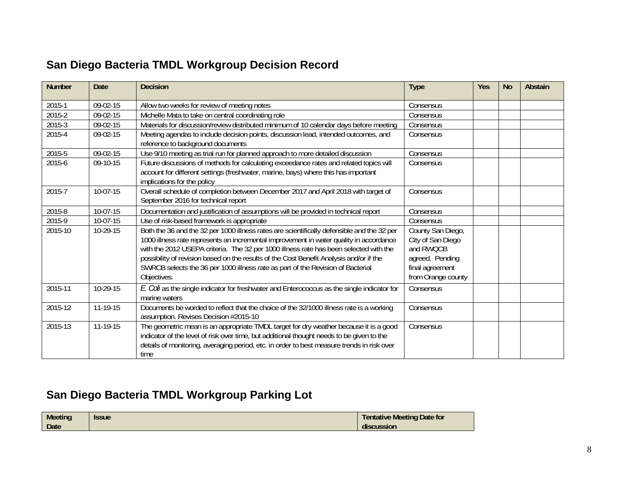# **San Diego Bacteria TMDL Workgroup Decision Record**

| <b>Number</b> | <b>Date</b> | <b>Decision</b>                                                                                                                                                                                                                                                                                                                                                                                                                                                            | <b>Type</b>                                                                                                     | <b>Yes</b> | <b>No</b> | Abstain |
|---------------|-------------|----------------------------------------------------------------------------------------------------------------------------------------------------------------------------------------------------------------------------------------------------------------------------------------------------------------------------------------------------------------------------------------------------------------------------------------------------------------------------|-----------------------------------------------------------------------------------------------------------------|------------|-----------|---------|
| 2015-1        | 09-02-15    | Allow two weeks for review of meeting notes                                                                                                                                                                                                                                                                                                                                                                                                                                | Consensus                                                                                                       |            |           |         |
| 2015-2        | 09-02-15    | Michelle Mata to take on central coordinating role                                                                                                                                                                                                                                                                                                                                                                                                                         | Consensus                                                                                                       |            |           |         |
| 2015-3        | 09-02-15    | Materials for discussion/review distributed minimum of 10 calendar days before meeting                                                                                                                                                                                                                                                                                                                                                                                     | Consensus                                                                                                       |            |           |         |
| 2015-4        | 09-02-15    | Meeting agendas to include decision points, discussion lead, intended outcomes, and<br>reference to background documents                                                                                                                                                                                                                                                                                                                                                   | Consensus                                                                                                       |            |           |         |
| 2015-5        | 09-02-15    | Use 9/10 meeting as trial run for planned approach to more detailed discussion                                                                                                                                                                                                                                                                                                                                                                                             | Consensus                                                                                                       |            |           |         |
| 2015-6        | 09-10-15    | Future discussions of methods for calculating exceedance rates and related topics will<br>account for different settings (freshwater, marine, bays) where this has important<br>implications for the policy                                                                                                                                                                                                                                                                | Consensus                                                                                                       |            |           |         |
| 2015-7        | 10-07-15    | Overall schedule of completion between December 2017 and April 2018 with target of<br>September 2016 for technical report                                                                                                                                                                                                                                                                                                                                                  | Consensus                                                                                                       |            |           |         |
| 2015-8        | 10-07-15    | Documentation and justification of assumptions will be provided in technical report                                                                                                                                                                                                                                                                                                                                                                                        | Consensus                                                                                                       |            |           |         |
| 2015-9        | 10-07-15    | Use of risk-based framework is appropriate                                                                                                                                                                                                                                                                                                                                                                                                                                 | Consensus                                                                                                       |            |           |         |
| 2015-10       | 10-29-15    | Both the 36 and the 32 per 1000 illness rates are scientifically defensible and the 32 per<br>1000 illness rate represents an incremental improvement in water quality in accordance<br>with the 2012 USEPA criteria. The 32 per 1000 illness rate has been selected with the<br>possibility of revision based on the results of the Cost Benefit Analysis and/or if the<br>SWRCB selects the 36 per 1000 illness rate as part of the Revision of Bacterial<br>Objectives. | County San Diego,<br>City of San Diego<br>and RWQCB<br>agreed. Pending<br>final agreement<br>from Orange county |            |           |         |
| 2015-11       | 10-29-15    | E. Coli as the single indicator for freshwater and Enterococcus as the single indicator for<br>marine waters                                                                                                                                                                                                                                                                                                                                                               | Consensus                                                                                                       |            |           |         |
| 2015-12       | 11-19-15    | Documents be worded to reflect that the choice of the 32/1000 illness rate is a working<br>assumption. Revises Decision #2015-10                                                                                                                                                                                                                                                                                                                                           | Consensus                                                                                                       |            |           |         |
| 2015-13       | 11-19-15    | The geometric mean is an appropriate TMDL target for dry weather because it is a good<br>indicator of the level of risk over time, but additional thought needs to be given to the<br>details of monitoring, averaging period, etc. in order to best measure trends in risk over<br>time                                                                                                                                                                                   | Consensus                                                                                                       |            |           |         |

# **San Diego Bacteria TMDL Workgroup Parking Lot**

| <b>Meeting</b> | <b>Issue</b> | Tentative Meeting Date for |
|----------------|--------------|----------------------------|
| <b>Date</b>    |              | discussion                 |